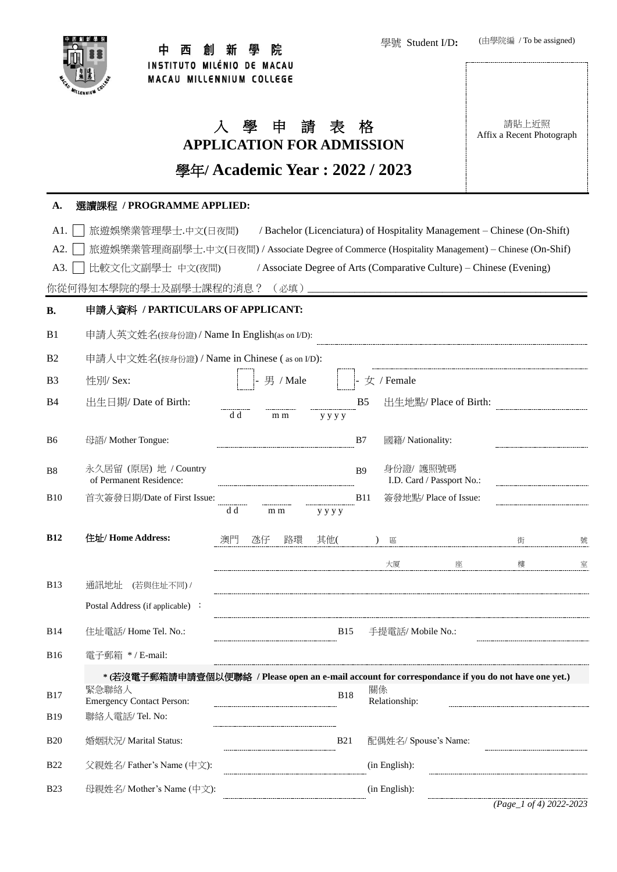

#### 院 中 西 創 新 壆

學號 Student I/D**:**



(由學院編 / To be assigned)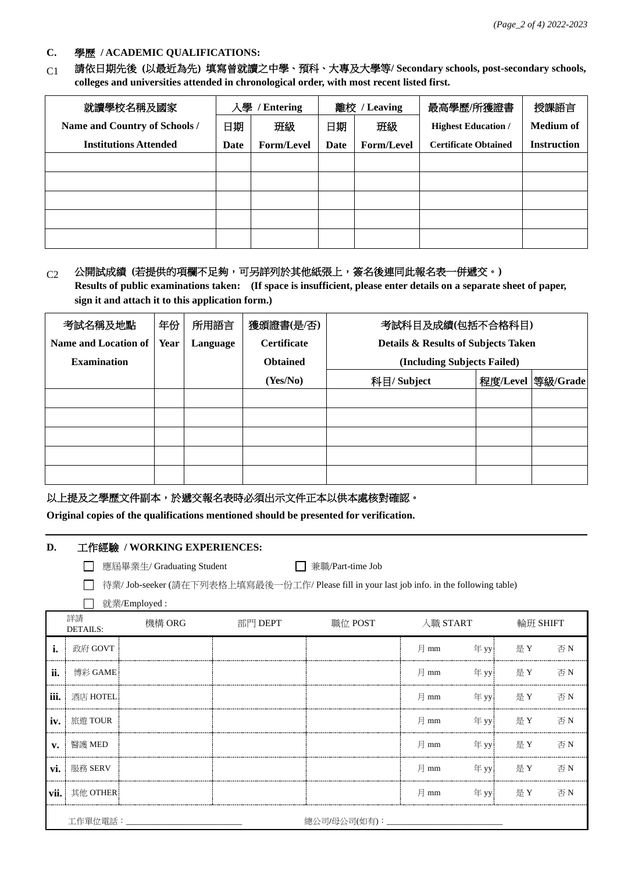#### **C.** 學歷 **/ ACADEMIC QUALIFICATIONS:**

C1 請依日期先後 **(**以最近為先**)** 填寫曾就讀之中學、預科、大專及大學等**/ Secondary schools, post-secondary schools, colleges and universities attended in chronological order, with most recent listed first.**

| 就讀學校名稱及國家                     |      | 離校 / Leaving<br>人學<br><b>Entering</b> |      | 最高學歷/所獲證書         | 授課語言                        |                    |
|-------------------------------|------|---------------------------------------|------|-------------------|-----------------------------|--------------------|
| Name and Country of Schools / | 日期   | 班級                                    | 日期   | 班級                | <b>Highest Education /</b>  | <b>Medium of</b>   |
| <b>Institutions Attended</b>  | Date | <b>Form/Level</b>                     | Date | <b>Form/Level</b> | <b>Certificate Obtained</b> | <b>Instruction</b> |
|                               |      |                                       |      |                   |                             |                    |
|                               |      |                                       |      |                   |                             |                    |
|                               |      |                                       |      |                   |                             |                    |
|                               |      |                                       |      |                   |                             |                    |
|                               |      |                                       |      |                   |                             |                    |

## C2 公開試成績 **(**若提供的項欄不足夠,可另詳列於其他紙張上,簽名後連同此報名表一併遞交。**)**

**Results of public examinations taken: (If space is insufficient, please enter details on a separate sheet of paper, sign it and attach it to this application form.)**

| 考試名稱及地點              | 年份   | 所用語言     | 獲頒證書(是/否)          | 考試科目及成績(包括不合格科目)                    |  |                    |
|----------------------|------|----------|--------------------|-------------------------------------|--|--------------------|
| Name and Location of | Year | Language | <b>Certificate</b> | Details & Results of Subjects Taken |  |                    |
| <b>Examination</b>   |      |          | <b>Obtained</b>    | (Including Subjects Failed)         |  |                    |
|                      |      |          | (Yes/No)           | 科目/ Subject                         |  | 程度/Level  等級/Grade |
|                      |      |          |                    |                                     |  |                    |
|                      |      |          |                    |                                     |  |                    |
|                      |      |          |                    |                                     |  |                    |
|                      |      |          |                    |                                     |  |                    |
|                      |      |          |                    |                                     |  |                    |

以上提及之學歷文件副本,於遞交報名表時必須出示文件正本以供本處核對確認。

**Original copies of the qualifications mentioned should be presented for verification.**

#### **D.** 工作經驗 **/ WORKING EXPERIENCES:**

□ 應屆畢業生/ Graduating Student □ ● ● 東職/Part-time Job

□ 待業/ Job-seeker (請在下列表格上填寫最後一份工作/ Please fill in your last job info. in the following table)

| 就業/Employed: |
|--------------|
|--------------|

|                | 詳請<br><b>DETAILS:</b> | 機構 ORG | 部門 DEPT | 職位 POST            | 入職 START |     | 輪班 SHIFT |    |
|----------------|-----------------------|--------|---------|--------------------|----------|-----|----------|----|
| i.             | 政府 GOVT               |        |         |                    | 月<br>mm  | 年w  | 是 Y      | 否N |
| ii.            | 博彩 GAME               |        |         |                    | 月<br>mm  |     | 年 yy 是 Y | 否N |
| iii.           | 酒店 HOTEL              |        |         |                    | 月 mm     |     | 年 yy 是 Y | 否N |
| iv.            | 旅遊 TOUR               |        |         |                    | 月 mm     | 年w  | 是 Y      | 否N |
| $\mathbf{v}$ . | 醫護 MED                |        |         |                    | 月 mm     | 年w  | 是 Y      | 否N |
| vi.            | 服務 SERV               |        |         |                    | 月<br>mm  | 年yy | 是 Y      | 不下 |
| vii.           | 其他 OTHER              |        |         |                    | 月 mm     | 年w  | 是 Y      | 否N |
|                | 工作單位電話:____           |        |         | 總公司/母公司(如有): _____ |          |     |          |    |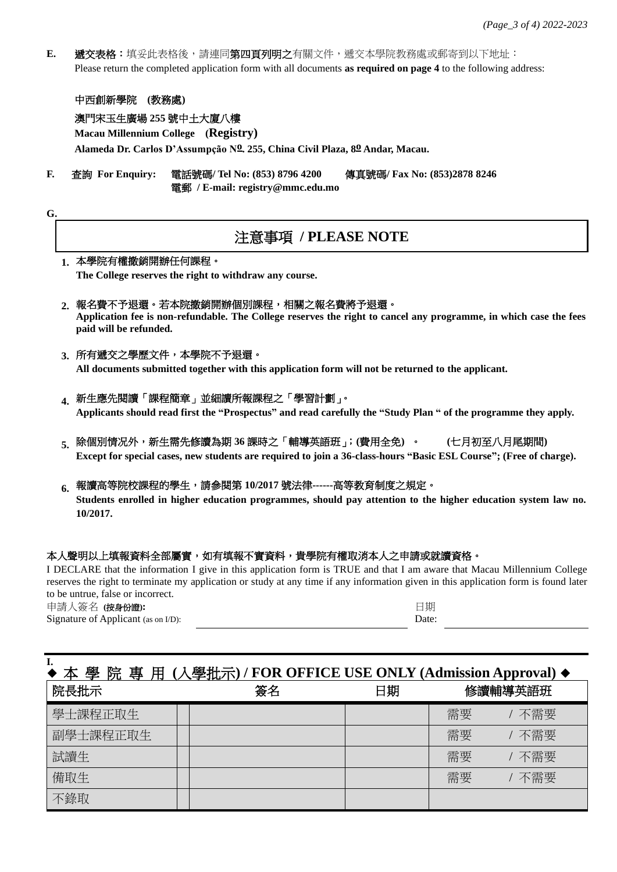**E.** 遞交表格:填妥此表格後,請連同第四頁列明之有關文件,遞交本學院教務處或郵寄到以下地址: Please return the completed application form with all documents **as required on page 4** to the following address:

### 中西創新學院 **(**教務處**)**

### 澳門宋玉生廣場 **255** 號中土大廈八樓

**Macau Millennium College (Registry)**

**Alameda Dr. Carlos D'Assumpção No. 255, China Civil Plaza, 8o Andar, Macau.**

**F.** 查詢 **For Enquiry:** 電話號碼**/ Tel No: (853) 8796 4200** 傳真號碼**/ Fax No: (853)2878 8246** 電郵 **/ E-mail: registry@mmc.edu.mo**

## 注意事項 **/ PLEASE NOTE**

#### **1.** 本學院有權撤銷開辦任何課程。

**G.**

**The College reserves the right to withdraw any course.**

#### **2.** 報名費不予退還。若本院撤銷開辦個別課程,相關之報名費將予退還。

**Application fee is non-refundable. The College reserves the right to cancel any programme, in which case the fees paid will be refunded.**

#### **3.** 所有遞交之學歷文件,本學院不予退還。

**All documents submitted together with this application form will not be returned to the applicant.**

#### **4.** 新生應先閱讀「課程簡章」並細讀所報課程之「學習計劃」。

**Applicants should read first the "Prospectus" and read carefully the "Study Plan " of the programme they apply.**

**5.** 除個別情况外,新生需先修讀為期 **36** 課時之「輔導英語班」;**(**費用全免**)** 。 **(**七月初至八月尾期間**) Except for special cases, new students are required to join a 36-class-hours "Basic ESL Course"; (Free of charge).**

### **6.** 報讀高等院校課程的學生,請參閱第 **10/2017** 號法律**------**高等教育制度之規定。

**Students enrolled in higher education programmes, should pay attention to the higher education system law no. 10/2017.**

#### 本人聲明以上填報資料全部屬實,如有填報不實資料,貴學院有權取消本人之申請或就讀資格。

I DECLARE that the information I give in this application form is TRUE and that I am aware that Macau Millennium College reserves the right to terminate my application or study at any time if any information given in this application form is found later to be untrue, false or incorrect.

申請人簽名 **(**按身份證**):** Signature of Applicant (as on I/D):

**I.**

| n<br>s. |  |
|---------|--|

# ◆ 本 學 院 專 用 **(**入學批示**) / FOR OFFICE USE ONLY (Admission Approval)** ◆ 院長批示 ということには、この姿名 日期 修讀輔導英語班 學士課程正取生 需要 / 不需要 副學士課程正取生 需要 / 不需要 試讀生 インフィー マンフィー マンフィー アンストランド しゅうしょ おうしゃ おうしゃ おおし 常要 しんてい 不需要 備取生 需要 / 不需要 不錄取